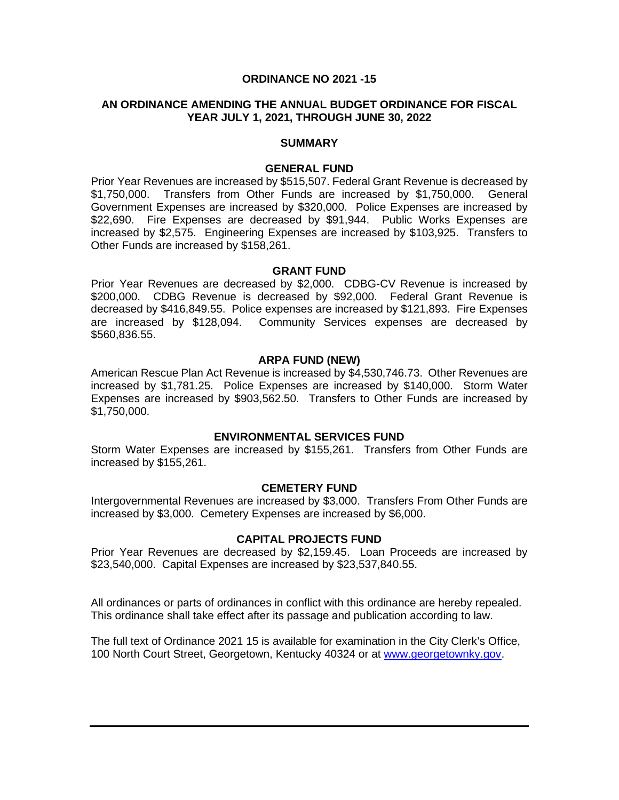# **ORDINANCE NO 2021 -15**

#### **AN ORDINANCE AMENDING THE ANNUAL BUDGET ORDINANCE FOR FISCAL YEAR JULY 1, 2021, THROUGH JUNE 30, 2022**

#### **SUMMARY**

#### **GENERAL FUND**

Prior Year Revenues are increased by \$515,507. Federal Grant Revenue is decreased by \$1,750,000. Transfers from Other Funds are increased by \$1,750,000. General Government Expenses are increased by \$320,000. Police Expenses are increased by \$22,690. Fire Expenses are decreased by \$91,944. Public Works Expenses are increased by \$2,575. Engineering Expenses are increased by \$103,925. Transfers to Other Funds are increased by \$158,261.

#### **GRANT FUND**

Prior Year Revenues are decreased by \$2,000. CDBG-CV Revenue is increased by \$200,000. CDBG Revenue is decreased by \$92,000. Federal Grant Revenue is decreased by \$416,849.55. Police expenses are increased by \$121,893. Fire Expenses are increased by \$128,094. Community Services expenses are decreased by \$560,836.55.

#### **ARPA FUND (NEW)**

American Rescue Plan Act Revenue is increased by \$4,530,746.73. Other Revenues are increased by \$1,781.25. Police Expenses are increased by \$140,000. Storm Water Expenses are increased by \$903,562.50. Transfers to Other Funds are increased by \$1,750,000.

#### **ENVIRONMENTAL SERVICES FUND**

Storm Water Expenses are increased by \$155,261. Transfers from Other Funds are increased by \$155,261.

#### **CEMETERY FUND**

Intergovernmental Revenues are increased by \$3,000. Transfers From Other Funds are increased by \$3,000. Cemetery Expenses are increased by \$6,000.

# **CAPITAL PROJECTS FUND**

Prior Year Revenues are decreased by \$2,159.45. Loan Proceeds are increased by \$23,540,000. Capital Expenses are increased by \$23,537,840.55.

All ordinances or parts of ordinances in conflict with this ordinance are hereby repealed. This ordinance shall take effect after its passage and publication according to law.

The full text of Ordinance 2021 15 is available for examination in the City Clerk's Office, 100 North Court Street, Georgetown, Kentucky 40324 or at [www.georgetownky.gov.](http://www.georgetownky.gov/)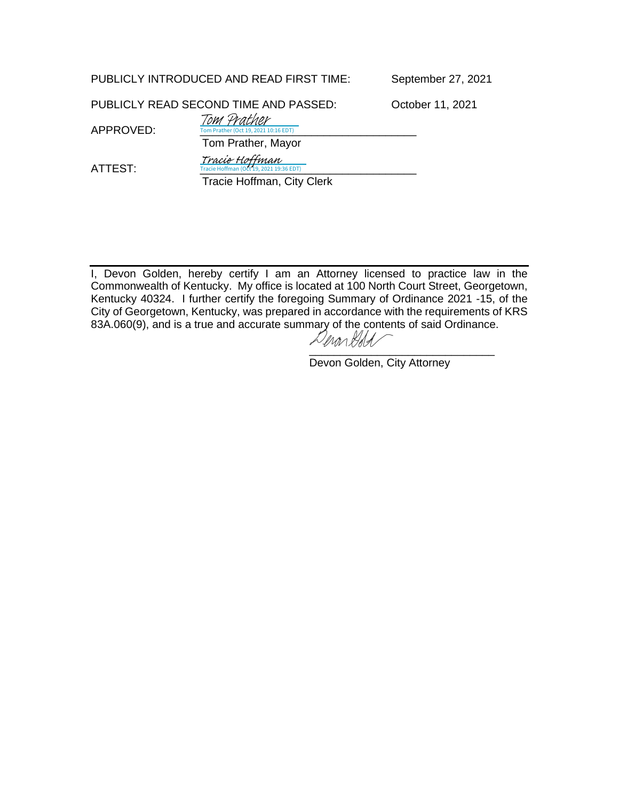PUBLICLY INTRODUCED AND READ FIRST TIME: September 27, 2021

PUBLICLY READ SECOND TIME AND PASSED: October 11, 2021

APPROVED: Tom Prather (Oct 19, 2021 10:16 EDT) Tom Prather, Mayor

Tracie Hoffman

Tom Prather

ATTEST: [\\_\\_\\_\\_\\_\\_\\_\\_\\_\\_\\_\\_\\_\\_\\_\\_\\_\\_\\_\\_\\_\\_\\_\\_\\_\\_\\_\\_\\_\\_\\_\\_\\_\\_\\_](https://na1.documents.adobe.com/verifier?tx=CBJCHBCAABAAXuHduL6fWDPGqxC4IW4Sd8koLIbb5S6Y)

 Tracie Hoffman, City Clerk  $0, 2021 19$ :

I, Devon Golden, hereby certify I am an Attorney licensed to practice law in the Commonwealth of Kentucky. My office is located at 100 North Court Street, Georgetown, Kentucky 40324. I further certify the foregoing Summary of Ordinance 2021 -15, of the City of Georgetown, Kentucky, was prepared in accordance with the requirements of KRS 83A.060(9), and is a true and accurate summary of the contents of said Ordinance.<br> $\mathcal{L}_{\text{M}}$ 

[\\_\\_\\_\\_\\_\\_\\_\\_\\_\\_\\_\\_\\_\\_\\_\\_\\_\\_\\_\\_\\_\\_\\_\\_\\_\\_\\_\\_\\_\\_](https://adobefreeuserschannel.na1.documents.adobe.com/verifier?tx=CBJCHBCAABAAXuHduL6fWDPGqxC4IW4Sd8koLIbb5S6Y)

Devon Golden, City Attorney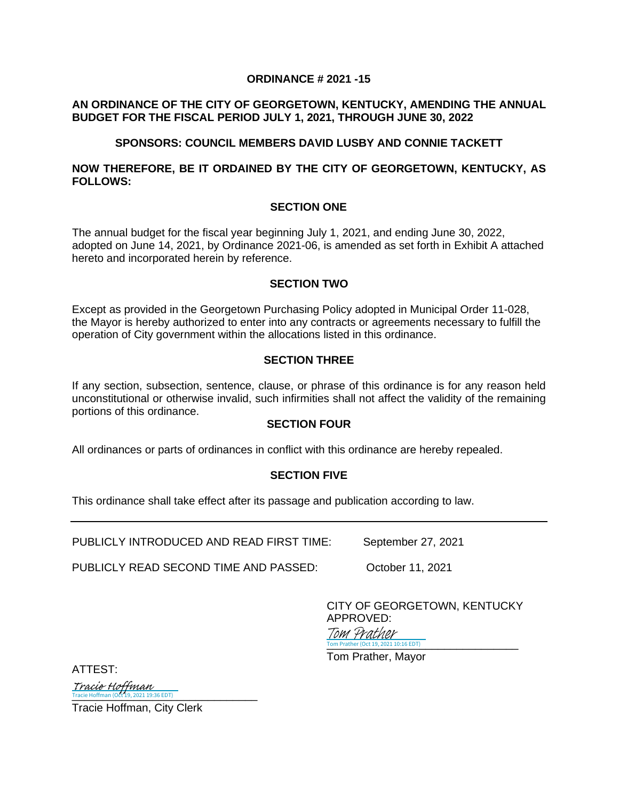# **ORDINANCE # 2021 -15**

# **AN ORDINANCE OF THE CITY OF GEORGETOWN, KENTUCKY, AMENDING THE ANNUAL BUDGET FOR THE FISCAL PERIOD JULY 1, 2021, THROUGH JUNE 30, 2022**

# **SPONSORS: COUNCIL MEMBERS DAVID LUSBY AND CONNIE TACKETT**

# **NOW THEREFORE, BE IT ORDAINED BY THE CITY OF GEORGETOWN, KENTUCKY, AS FOLLOWS:**

# **SECTION ONE**

The annual budget for the fiscal year beginning July 1, 2021, and ending June 30, 2022, adopted on June 14, 2021, by Ordinance 2021-06, is amended as set forth in Exhibit A attached hereto and incorporated herein by reference.

#### **SECTION TWO**

Except as provided in the Georgetown Purchasing Policy adopted in Municipal Order 11-028, the Mayor is hereby authorized to enter into any contracts or agreements necessary to fulfill the operation of City government within the allocations listed in this ordinance.

# **SECTION THREE**

If any section, subsection, sentence, clause, or phrase of this ordinance is for any reason held unconstitutional or otherwise invalid, such infirmities shall not affect the validity of the remaining portions of this ordinance.

# **SECTION FOUR**

All ordinances or parts of ordinances in conflict with this ordinance are hereby repealed.

# **SECTION FIVE**

This ordinance shall take effect after its passage and publication according to law.

PUBLICLY INTRODUCED AND READ FIRST TIME: September 27, 2021

PUBLICLY READ SECOND TIME AND PASSED: October 11, 2021

CITY OF GEORGETOWN, KENTUCKY

APPROVED: Tom Prather (Oct 19, 2021 10:16 EDT) Tom Prather

Tom Prather, Mayor

ATTEST:

[\\_\\_\\_\\_\\_\\_\\_\\_\\_\\_\\_\\_\\_\\_\\_\\_\\_\\_\\_\\_\\_\\_\\_\\_\\_\\_\\_\\_\\_\\_](https://na1.documents.adobe.com/verifier?tx=CBJCHBCAABAAXuHduL6fWDPGqxC4IW4Sd8koLIbb5S6Y) Tracie Hoffman (Oct 19, 2021 19:36 EDT) Tracie Hoffman

Tracie Hoffman, City Clerk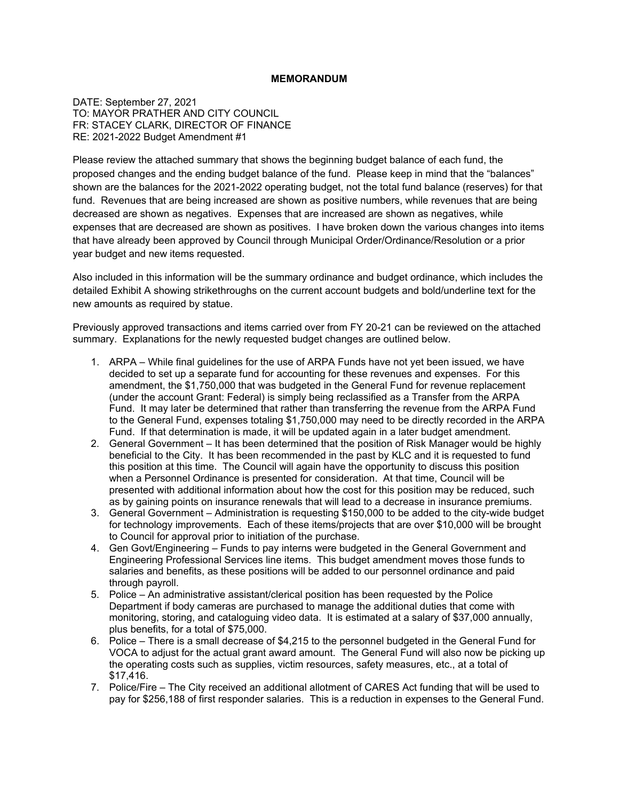#### **MEMORANDUM**

DATE: September 27, 2021 TO: MAYOR PRATHER AND CITY COUNCIL FR: STACEY CLARK, DIRECTOR OF FINANCE RE: 2021-2022 Budget Amendment #1

Please review the attached summary that shows the beginning budget balance of each fund, the proposed changes and the ending budget balance of the fund. Please keep in mind that the "balances" shown are the balances for the 2021-2022 operating budget, not the total fund balance (reserves) for that fund. Revenues that are being increased are shown as positive numbers, while revenues that are being decreased are shown as negatives. Expenses that are increased are shown as negatives, while expenses that are decreased are shown as positives. I have broken down the various changes into items that have already been approved by Council through Municipal Order/Ordinance/Resolution or a prior year budget and new items requested.

Also included in this information will be the summary ordinance and budget ordinance, which includes the detailed Exhibit A showing strikethroughs on the current account budgets and bold/underline text for the new amounts as required by statue.

Previously approved transactions and items carried over from FY 20-21 can be reviewed on the attached summary. Explanations for the newly requested budget changes are outlined below.

- 1. ARPA While final guidelines for the use of ARPA Funds have not yet been issued, we have decided to set up a separate fund for accounting for these revenues and expenses. For this amendment, the \$1,750,000 that was budgeted in the General Fund for revenue replacement (under the account Grant: Federal) is simply being reclassified as a Transfer from the ARPA Fund. It may later be determined that rather than transferring the revenue from the ARPA Fund to the General Fund, expenses totaling \$1,750,000 may need to be directly recorded in the ARPA Fund. If that determination is made, it will be updated again in a later budget amendment.
- 2. General Government It has been determined that the position of Risk Manager would be highly beneficial to the City. It has been recommended in the past by KLC and it is requested to fund this position at this time. The Council will again have the opportunity to discuss this position when a Personnel Ordinance is presented for consideration. At that time, Council will be presented with additional information about how the cost for this position may be reduced, such as by gaining points on insurance renewals that will lead to a decrease in insurance premiums.
- 3. General Government Administration is requesting \$150,000 to be added to the city-wide budget for technology improvements. Each of these items/projects that are over \$10,000 will be brought to Council for approval prior to initiation of the purchase.
- 4. Gen Govt/Engineering Funds to pay interns were budgeted in the General Government and Engineering Professional Services line items. This budget amendment moves those funds to salaries and benefits, as these positions will be added to our personnel ordinance and paid through payroll.
- 5. Police An administrative assistant/clerical position has been requested by the Police Department if body cameras are purchased to manage the additional duties that come with monitoring, storing, and cataloguing video data. It is estimated at a salary of \$37,000 annually, plus benefits, for a total of \$75,000.
- 6. Police There is a small decrease of \$4,215 to the personnel budgeted in the General Fund for VOCA to adjust for the actual grant award amount. The General Fund will also now be picking up the operating costs such as supplies, victim resources, safety measures, etc., at a total of \$17,416.
- 7. Police/Fire The City received an additional allotment of CARES Act funding that will be used to pay for \$256,188 of first responder salaries. This is a reduction in expenses to the General Fund.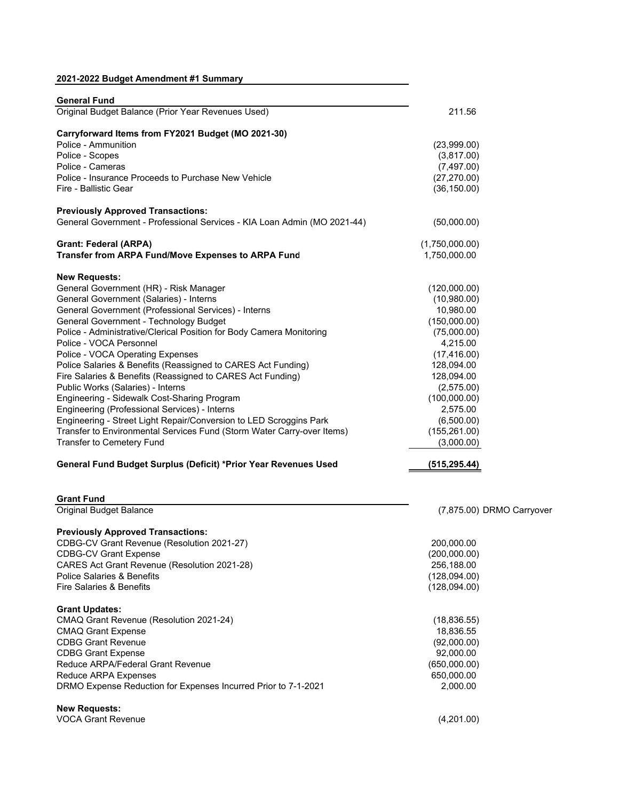#### **2021-2022 Budget Amendment #1 Summary**

| <b>General Fund</b>                                                                                                  |                |
|----------------------------------------------------------------------------------------------------------------------|----------------|
| Original Budget Balance (Prior Year Revenues Used)                                                                   | 211.56         |
| Carryforward Items from FY2021 Budget (MO 2021-30)                                                                   |                |
| Police - Ammunition                                                                                                  | (23,999.00)    |
| Police - Scopes                                                                                                      | (3,817.00)     |
| Police - Cameras                                                                                                     | (7, 497.00)    |
| Police - Insurance Proceeds to Purchase New Vehicle                                                                  | (27, 270.00)   |
| Fire - Ballistic Gear                                                                                                | (36, 150.00)   |
|                                                                                                                      |                |
| <b>Previously Approved Transactions:</b><br>General Government - Professional Services - KIA Loan Admin (MO 2021-44) | (50,000.00)    |
| <b>Grant: Federal (ARPA)</b>                                                                                         | (1,750,000.00) |
| Transfer from ARPA Fund/Move Expenses to ARPA Fund                                                                   | 1,750,000.00   |
| <b>New Requests:</b>                                                                                                 |                |
| General Government (HR) - Risk Manager                                                                               | (120,000.00)   |
| General Government (Salaries) - Interns                                                                              | (10,980.00)    |
| General Government (Professional Services) - Interns                                                                 | 10,980.00      |
| General Government - Technology Budget                                                                               | (150,000.00)   |
| Police - Administrative/Clerical Position for Body Camera Monitoring                                                 | (75,000.00)    |
| Police - VOCA Personnel                                                                                              | 4,215.00       |
| Police - VOCA Operating Expenses                                                                                     |                |
|                                                                                                                      | (17, 416.00)   |
| Police Salaries & Benefits (Reassigned to CARES Act Funding)                                                         | 128,094.00     |
| Fire Salaries & Benefits (Reassigned to CARES Act Funding)                                                           | 128,094.00     |
| Public Works (Salaries) - Interns                                                                                    | (2,575.00)     |
| Engineering - Sidewalk Cost-Sharing Program                                                                          | (100,000.00)   |
| Engineering (Professional Services) - Interns                                                                        | 2,575.00       |
| Engineering - Street Light Repair/Conversion to LED Scroggins Park                                                   | (6,500.00)     |
| Transfer to Environmental Services Fund (Storm Water Carry-over Items)                                               | (155, 261.00)  |
| Transfer to Cemetery Fund                                                                                            | (3,000.00)     |
| General Fund Budget Surplus (Deficit) *Prior Year Revenues Used                                                      | (515, 295.44)  |
|                                                                                                                      |                |
| <b>Grant Fund</b><br>Original Budget Balance                                                                         | $(7,875.00)$ D |
|                                                                                                                      |                |
| <b>Previously Approved Transactions:</b>                                                                             |                |
| CDBG-CV Grant Revenue (Resolution 2021-27)                                                                           | 200,000.00     |
| <b>CDBG-CV Grant Expense</b>                                                                                         | (200,000.00)   |
| CARES Act Grant Revenue (Resolution 2021-28)                                                                         | 256,188.00     |
| Police Salaries & Benefits                                                                                           | (128,094.00)   |
| Fire Salaries & Benefits                                                                                             | (128,094.00)   |
| <b>Grant Updates:</b>                                                                                                |                |
| CMAQ Grant Revenue (Resolution 2021-24)                                                                              | (18, 836.55)   |
| <b>CMAQ Grant Expense</b>                                                                                            | 18,836.55      |
| <b>CDBG Grant Revenue</b>                                                                                            | (92,000.00)    |
| <b>CDBG Grant Expense</b>                                                                                            | 92,000.00      |
| Reduce ARPA/Federal Grant Revenue                                                                                    | (650,000.00)   |
| <b>Reduce ARPA Expenses</b>                                                                                          | 650,000.00     |
|                                                                                                                      |                |
| DRMO Expense Reduction for Expenses Incurred Prior to 7-1-2021                                                       | 2,000.00       |
| <b>New Requests:</b>                                                                                                 |                |
| <b>VOCA Grant Revenue</b>                                                                                            | (4,201.00)     |

RMO Carryover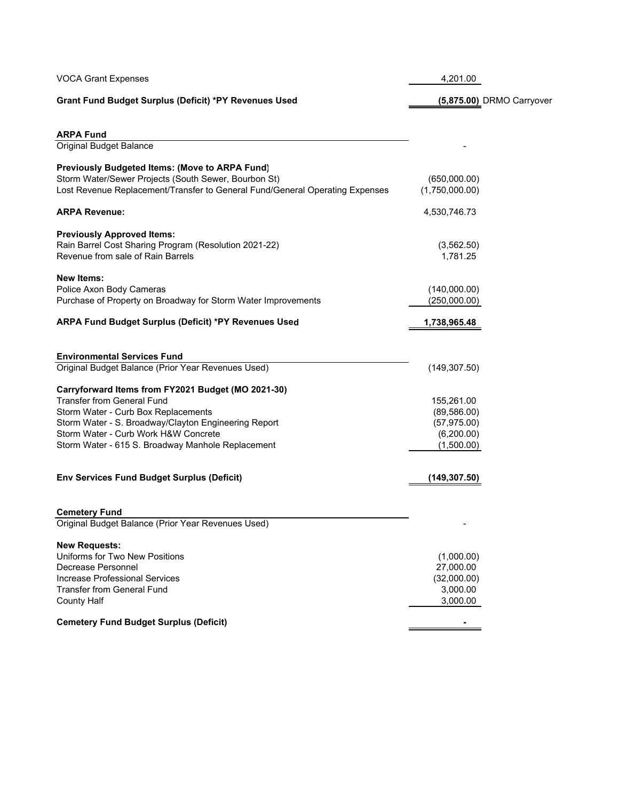| <b>VOCA Grant Expenses</b>                                                                                                                                                                                                                                                          | 4,201.00                                                               |
|-------------------------------------------------------------------------------------------------------------------------------------------------------------------------------------------------------------------------------------------------------------------------------------|------------------------------------------------------------------------|
| Grant Fund Budget Surplus (Deficit) *PY Revenues Used                                                                                                                                                                                                                               | (5,875.00) DRMO Carryover                                              |
| <b>ARPA Fund</b>                                                                                                                                                                                                                                                                    |                                                                        |
| <b>Original Budget Balance</b>                                                                                                                                                                                                                                                      |                                                                        |
| Previously Budgeted Items: (Move to ARPA Fund)<br>Storm Water/Sewer Projects (South Sewer, Bourbon St)<br>Lost Revenue Replacement/Transfer to General Fund/General Operating Expenses                                                                                              | (650,000.00)<br>(1,750,000.00)                                         |
| <b>ARPA Revenue:</b>                                                                                                                                                                                                                                                                | 4,530,746.73                                                           |
| <b>Previously Approved Items:</b><br>Rain Barrel Cost Sharing Program (Resolution 2021-22)<br>Revenue from sale of Rain Barrels                                                                                                                                                     | (3, 562.50)<br>1,781.25                                                |
| <b>New Items:</b><br>Police Axon Body Cameras<br>Purchase of Property on Broadway for Storm Water Improvements                                                                                                                                                                      | (140,000.00)<br>(250,000.00)                                           |
| ARPA Fund Budget Surplus (Deficit) *PY Revenues Used                                                                                                                                                                                                                                | 1,738,965.48                                                           |
| <b>Environmental Services Fund</b><br>Original Budget Balance (Prior Year Revenues Used)                                                                                                                                                                                            | (149, 307.50)                                                          |
| Carryforward Items from FY2021 Budget (MO 2021-30)<br><b>Transfer from General Fund</b><br>Storm Water - Curb Box Replacements<br>Storm Water - S. Broadway/Clayton Engineering Report<br>Storm Water - Curb Work H&W Concrete<br>Storm Water - 615 S. Broadway Manhole Replacement | 155,261.00<br>(89, 586.00)<br>(57, 975.00)<br>(6,200.00)<br>(1,500.00) |
| <b>Env Services Fund Budget Surplus (Deficit)</b>                                                                                                                                                                                                                                   | (149, 307.50)                                                          |
| <b>Cemetery Fund</b><br>Original Budget Balance (Prior Year Revenues Used)                                                                                                                                                                                                          |                                                                        |
| <b>New Requests:</b><br>Uniforms for Two New Positions<br>Decrease Personnel<br>Increase Professional Services<br>Transfer from General Fund<br><b>County Half</b>                                                                                                                  | (1,000.00)<br>27,000.00<br>(32,000.00)<br>3,000.00<br>3,000.00         |
| <b>Cemetery Fund Budget Surplus (Deficit)</b>                                                                                                                                                                                                                                       |                                                                        |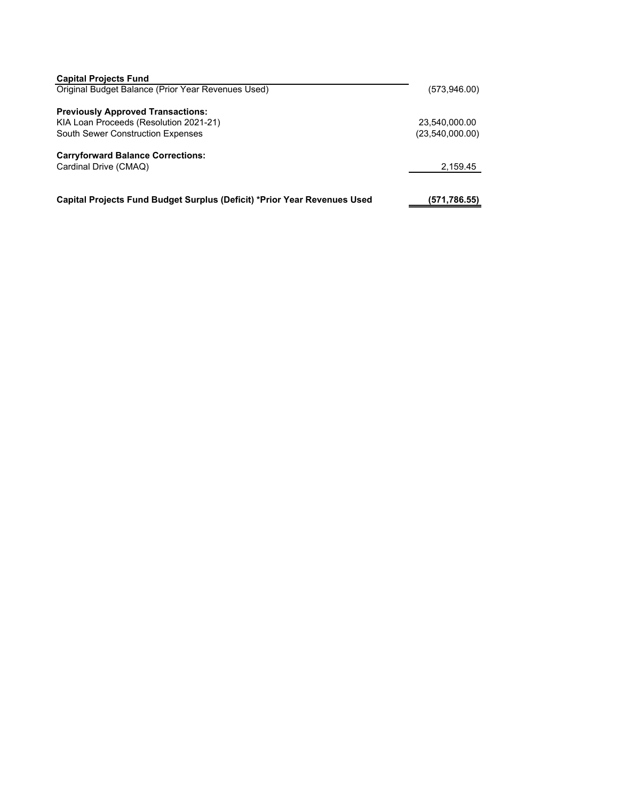| <b>Capital Projects Fund</b>                                             |                 |
|--------------------------------------------------------------------------|-----------------|
| Original Budget Balance (Prior Year Revenues Used)                       | (573,946.00)    |
|                                                                          |                 |
| <b>Previously Approved Transactions:</b>                                 |                 |
| KIA Loan Proceeds (Resolution 2021-21)                                   | 23.540.000.00   |
| <b>South Sewer Construction Expenses</b>                                 | (23,540,000.00) |
|                                                                          |                 |
| <b>Carryforward Balance Corrections:</b>                                 |                 |
| Cardinal Drive (CMAQ)                                                    | 2,159.45        |
|                                                                          |                 |
|                                                                          |                 |
| Capital Projects Fund Budget Surplus (Deficit) *Prior Year Revenues Used | (571,786.55)    |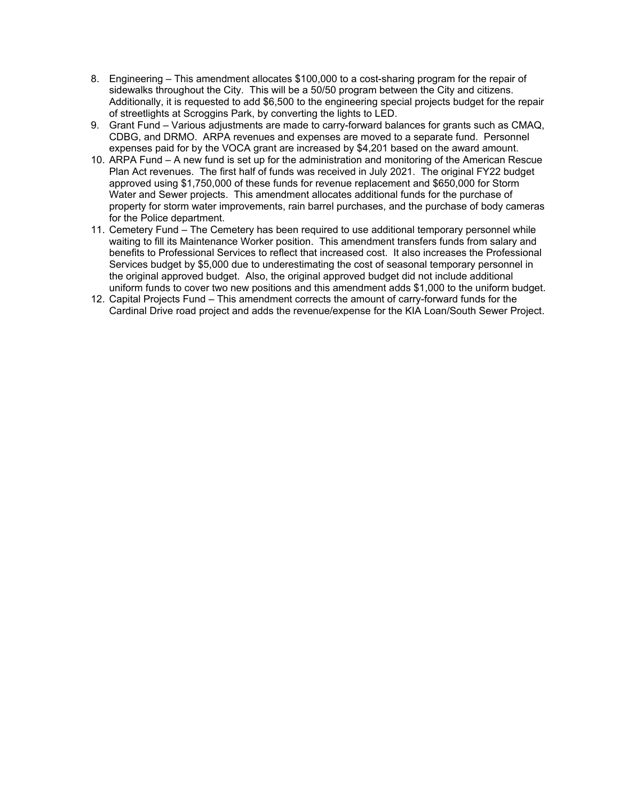- 8. Engineering This amendment allocates \$100,000 to a cost-sharing program for the repair of sidewalks throughout the City. This will be a 50/50 program between the City and citizens. Additionally, it is requested to add \$6,500 to the engineering special projects budget for the repair of streetlights at Scroggins Park, by converting the lights to LED.
- 9. Grant Fund Various adjustments are made to carry-forward balances for grants such as CMAQ, CDBG, and DRMO. ARPA revenues and expenses are moved to a separate fund. Personnel expenses paid for by the VOCA grant are increased by \$4,201 based on the award amount.
- 10. ARPA Fund A new fund is set up for the administration and monitoring of the American Rescue Plan Act revenues. The first half of funds was received in July 2021. The original FY22 budget approved using \$1,750,000 of these funds for revenue replacement and \$650,000 for Storm Water and Sewer projects. This amendment allocates additional funds for the purchase of property for storm water improvements, rain barrel purchases, and the purchase of body cameras for the Police department.
- 11. Cemetery Fund The Cemetery has been required to use additional temporary personnel while waiting to fill its Maintenance Worker position. This amendment transfers funds from salary and benefits to Professional Services to reflect that increased cost. It also increases the Professional Services budget by \$5,000 due to underestimating the cost of seasonal temporary personnel in the original approved budget. Also, the original approved budget did not include additional uniform funds to cover two new positions and this amendment adds \$1,000 to the uniform budget.
- 12. Capital Projects Fund This amendment corrects the amount of carry-forward funds for the Cardinal Drive road project and adds the revenue/expense for the KIA Loan/South Sewer Project.